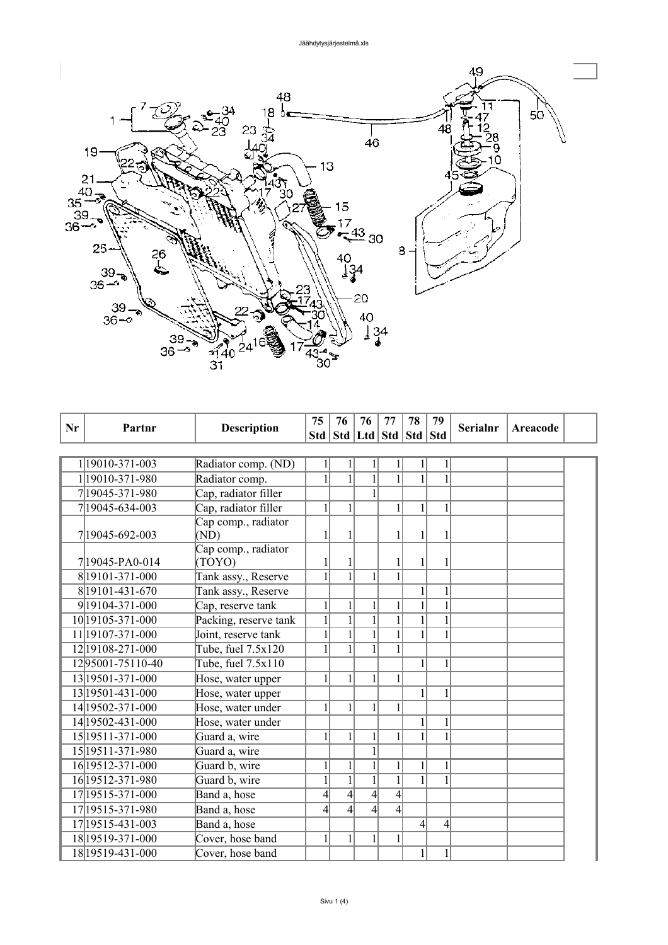

| Nr | Partnr                 | <b>Description</b>            | 75               | 76             | 76               | 77                                | 78           | 79           | <b>Serialnr</b> | Areacode |  |
|----|------------------------|-------------------------------|------------------|----------------|------------------|-----------------------------------|--------------|--------------|-----------------|----------|--|
|    |                        |                               |                  |                |                  | Std   Std   Ltd   Std   Std   Std |              |              |                 |          |  |
|    |                        |                               |                  |                |                  |                                   |              |              |                 |          |  |
|    | 1 19010-371-003        | Radiator comp. (ND)           | 1                | 1              |                  | 1                                 | 1            | $\mathbf{1}$ |                 |          |  |
|    | 1 19010-371-980        | Radiator comp.                | 1                | $\mathbf{1}$   | $\mathbf{1}$     | 1                                 | $\mathbf{1}$ | $\mathbf{1}$ |                 |          |  |
|    | 7 19045-371-980        | Cap, radiator filler          |                  |                |                  |                                   |              |              |                 |          |  |
|    | 7 19045-634-003        | Cap, radiator filler          | $\mathbf{1}$     | $\mathbf{1}$   |                  | $\mathbf{1}$                      | $\mathbf{1}$ | $\mathbf{1}$ |                 |          |  |
|    | 7 19045-692-003        | Cap comp., radiator<br>(ND)   | 1                |                |                  | 1                                 | 1            |              |                 |          |  |
|    | 719045-PA0-014         | Cap comp., radiator<br>(TOYO) | 1                |                |                  | 1                                 | 1            |              |                 |          |  |
|    | 8 19101-371-000        | Tank assy., Reserve           | 1                | 1              |                  | 1                                 |              |              |                 |          |  |
|    | 8 19101-431-670        | Tank assy., Reserve           |                  |                |                  |                                   | $\mathbf{1}$ |              |                 |          |  |
|    | 9 19 10 4 - 371 - 000  | Cap, reserve tank             | 1                | 1              |                  |                                   | $\mathbf{1}$ |              |                 |          |  |
|    | 10 19 10 5 - 371 - 000 | Packing, reserve tank         | $\mathbf{1}$     | $\mathbf 1$    |                  |                                   | $\mathbf{1}$ |              |                 |          |  |
|    | 11 19107-371-000       | Joint, reserve tank           |                  | $\mathbf{1}$   |                  |                                   | $\mathbf{1}$ | $\mathbf{1}$ |                 |          |  |
|    | 12 19108 - 271 - 000   | Tube, fuel 7.5x120            | 1                | 1              |                  |                                   |              |              |                 |          |  |
|    | 1295001-75110-40       | Tube, fuel 7.5x110            |                  |                |                  |                                   | 1            | 1            |                 |          |  |
|    | 13 19501 - 371 - 000   | Hose, water upper             | 1                | 1              |                  | 1                                 |              |              |                 |          |  |
|    | 13 19501 - 431 - 000   | Hose, water upper             |                  |                |                  |                                   | 1            | $\mathbf{1}$ |                 |          |  |
|    | 14 19502 - 371 - 000   | Hose, water under             | $\mathbf{1}$     | 1              | $\mathbf{1}$     | 1                                 |              |              |                 |          |  |
|    | 14 19502-431-000       | Hose, water under             |                  |                |                  |                                   | 1            |              |                 |          |  |
|    | 15 19511 - 371 - 000   | Guard a, wire                 | $\mathbf{1}$     | $\mathbf{1}$   | 1                | $\mathbf{1}$                      | $\mathbf{1}$ |              |                 |          |  |
|    | 15 19511 - 371 - 980   | Guard a, wire                 |                  |                |                  |                                   |              |              |                 |          |  |
|    | 16 19512-371-000       | Guard b, wire                 | $\mathbf{1}$     | $\mathbf{1}$   | $\mathbf{1}$     | $\mathbf{1}$                      | $\mathbf{1}$ | $\mathbf{1}$ |                 |          |  |
|    | 16 19512-371-980       | Guard b, wire                 | $\mathbf{1}$     | $\mathbf{1}$   | $\mathbf{1}$     | 1                                 | 1            |              |                 |          |  |
|    | 17 19515 - 371 - 000   | Band a, hose                  | $\overline{4}$   | $\overline{4}$ | $\overline{4}$   | $\overline{4}$                    |              |              |                 |          |  |
|    | 17 19515 - 371 - 980   | Band a, hose                  | $\left 4\right $ | $\overline{4}$ | $\left 4\right $ | $\overline{4}$                    |              |              |                 |          |  |
|    | 17 19515-431-003       | Band a, hose                  |                  |                |                  |                                   | 4            | 4            |                 |          |  |
|    | 18 19519 - 371 - 000   | Cover, hose band              | 1                | 1              | $\mathbf{1}$     | 1                                 |              |              |                 |          |  |
|    | 18 19519 - 431 - 000   | Cover, hose band              |                  |                |                  |                                   | $\mathbf{1}$ | 1            |                 |          |  |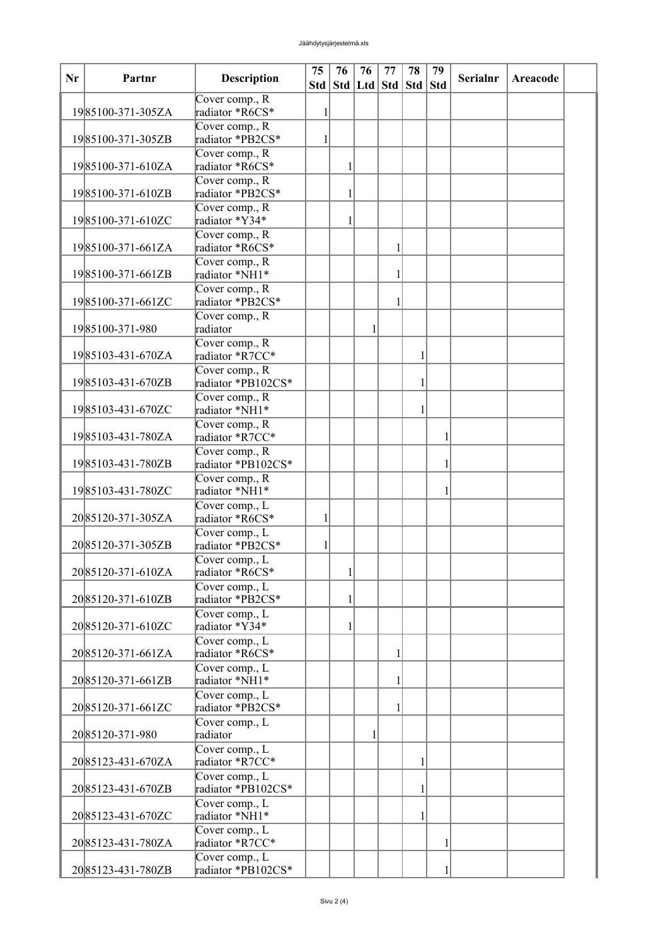| Nr | Partnr            | <b>Description</b>                   | 75<br>Std | 76 | 76<br>Std Ltd Std | 77 | 78<br>$\left  \right $ Std | 79<br><b>Std</b> | <b>Serialnr</b> | Areacode |  |
|----|-------------------|--------------------------------------|-----------|----|-------------------|----|----------------------------|------------------|-----------------|----------|--|
|    | 1985100-371-305ZA | Cover comp., R<br>radiator *R6CS*    | 1         |    |                   |    |                            |                  |                 |          |  |
|    |                   | Cover comp., R                       |           |    |                   |    |                            |                  |                 |          |  |
|    | 1985100-371-305ZB | radiator *PB2CS*<br>Cover comp., R   | 1         |    |                   |    |                            |                  |                 |          |  |
|    | 1985100-371-610ZA | radiator *R6CS*                      |           | 1  |                   |    |                            |                  |                 |          |  |
|    | 1985100-371-610ZB | Cover comp., R<br>radiator *PB2CS*   |           | 1  |                   |    |                            |                  |                 |          |  |
|    | 1985100-371-610ZC | Cover comp., R<br>radiator *Y34*     |           | 1  |                   |    |                            |                  |                 |          |  |
|    | 1985100-371-661ZA | Cover comp., R<br>radiator *R6CS*    |           |    |                   | 1  |                            |                  |                 |          |  |
|    | 1985100-371-661ZB | Cover comp., R<br>radiator *NH1*     |           |    |                   | 1  |                            |                  |                 |          |  |
|    | 1985100-371-661ZC | Cover comp., R<br>radiator *PB2CS*   |           |    |                   | 1  |                            |                  |                 |          |  |
|    | 1985100-371-980   | Cover comp., R<br>radiator           |           |    | 1                 |    |                            |                  |                 |          |  |
|    | 1985103-431-670ZA | Cover comp., R<br>radiator *R7CC*    |           |    |                   |    | 1                          |                  |                 |          |  |
|    | 1985103-431-670ZB | Cover comp., R<br>radiator *PB102CS* |           |    |                   |    | 1                          |                  |                 |          |  |
|    | 1985103-431-670ZC | Cover comp., R<br>radiator *NH1*     |           |    |                   |    | 1                          |                  |                 |          |  |
|    | 1985103-431-780ZA | Cover comp., R<br>radiator *R7CC*    |           |    |                   |    |                            |                  |                 |          |  |
|    | 1985103-431-780ZB | Cover comp., R<br>radiator *PB102CS* |           |    |                   |    |                            |                  |                 |          |  |
|    | 1985103-431-780ZC | Cover comp., R<br>radiator *NH1*     |           |    |                   |    |                            |                  |                 |          |  |
|    | 2085120-371-305ZA | Cover comp., L<br>radiator *R6CS*    | 1         |    |                   |    |                            |                  |                 |          |  |
|    | 2085120-371-305ZB | Cover comp., L<br>radiator *PB2CS*   |           |    |                   |    |                            |                  |                 |          |  |
|    | 2085120-371-610ZA | Cover comp., L<br>radiator *R6CS*    |           | 1  |                   |    |                            |                  |                 |          |  |
|    | 2085120-371-610ZB | Cover comp., L<br>radiator *PB2CS*   |           | 1  |                   |    |                            |                  |                 |          |  |
|    | 2085120-371-610ZC | Cover comp., L<br>radiator *Y34*     |           | 1  |                   |    |                            |                  |                 |          |  |
|    | 2085120-371-661ZA | Cover comp., L<br>radiator *R6CS*    |           |    |                   | 1  |                            |                  |                 |          |  |
|    | 2085120-371-661ZB | Cover comp., L<br>radiator *NH1*     |           |    |                   | 1  |                            |                  |                 |          |  |
|    | 2085120-371-661ZC | Cover comp., L<br>radiator *PB2CS*   |           |    |                   | 1  |                            |                  |                 |          |  |
|    | 2085120-371-980   | Cover comp., L<br>radiator           |           |    |                   |    |                            |                  |                 |          |  |
|    | 2085123-431-670ZA | Cover comp., L<br>radiator *R7CC*    |           |    |                   |    | 1                          |                  |                 |          |  |
|    | 2085123-431-670ZB | Cover comp., L<br>radiator *PB102CS* |           |    |                   |    | 1                          |                  |                 |          |  |
|    | 2085123-431-670ZC | Cover comp., L<br>radiator *NH1*     |           |    |                   |    | 1                          |                  |                 |          |  |
|    | 2085123-431-780ZA | Cover comp., L<br>radiator *R7CC*    |           |    |                   |    |                            | 1                |                 |          |  |
|    | 2085123-431-780ZB | Cover comp., L<br>radiator *PB102CS* |           |    |                   |    |                            |                  |                 |          |  |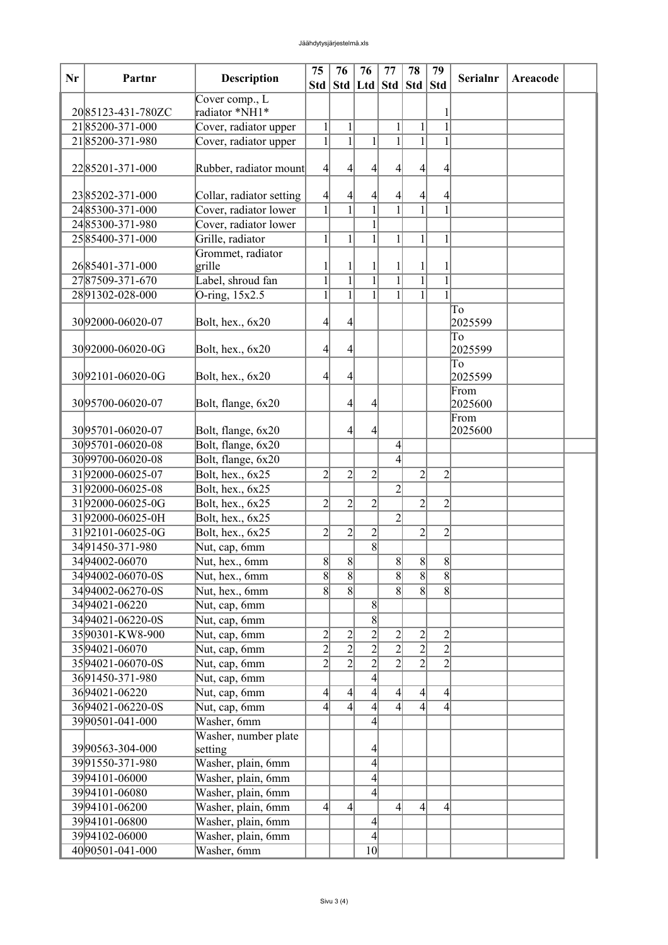| Nr | Partnr            | <b>Description</b>                    | 75              | 76<br>Std   Std   Ltd   Std | 76               | 77                       | 78<br>Std        | 79<br><b>Std</b> | <b>Serialnr</b> | Areacode |  |
|----|-------------------|---------------------------------------|-----------------|-----------------------------|------------------|--------------------------|------------------|------------------|-----------------|----------|--|
|    |                   | Cover comp., L                        |                 |                             |                  |                          |                  |                  |                 |          |  |
|    | 2085123-431-780ZC | radiator *NH1*                        |                 |                             |                  |                          |                  |                  |                 |          |  |
|    | 2185200-371-000   | Cover, radiator upper                 | $\mathbf{1}$    | $\mathbf{1}$                |                  | 1                        | $\mathbf{1}$     | $\overline{1}$   |                 |          |  |
|    | 2185200-371-980   | Cover, radiator upper                 | $\mathbf{1}$    | $\overline{1}$              | 1                |                          | $\mathbf{1}$     | 1                |                 |          |  |
|    |                   |                                       |                 |                             |                  |                          |                  |                  |                 |          |  |
|    | 2285201-371-000   | Rubber, radiator mount                | $\vert 4 \vert$ | 4                           | 4                | 4                        | 4                | 4                |                 |          |  |
|    |                   |                                       |                 |                             |                  |                          |                  |                  |                 |          |  |
|    | 2385202-371-000   | Collar, radiator setting              | $\vert 4 \vert$ | $\frac{4}{3}$               | 4                |                          | $\left 4\right $ | 4                |                 |          |  |
|    | 2485300-371-000   | Cover, radiator lower                 | $\overline{1}$  | $\overline{1}$              | $\overline{1}$   |                          |                  | $\overline{1}$   |                 |          |  |
|    | 2485300-371-980   | Cover, radiator lower                 |                 |                             | 1                |                          |                  |                  |                 |          |  |
|    | 2585400-371-000   | Grille, radiator<br>Grommet, radiator | $1\vert$        | 1                           | 1                | 1                        | 1                | 1                |                 |          |  |
|    | 2685401-371-000   | grille                                | 1               |                             |                  |                          |                  |                  |                 |          |  |
|    | 2787509-371-670   | Label, shroud fan                     | $\mathbf{1}$    | $\overline{1}$              | $\overline{1}$   | $\mathbf{1}$             | $\overline{1}$   | $\mathbf{1}$     |                 |          |  |
|    | 2891302-028-000   | O-ring, $15x2.5$                      | 1               | $\overline{1}$              | 1                | $\mathbf{1}$             | $\overline{1}$   | 1                |                 |          |  |
|    |                   |                                       |                 |                             |                  |                          |                  |                  | To              |          |  |
|    | 3092000-06020-07  | Bolt, hex., 6x20                      | $\overline{4}$  | 4                           |                  |                          |                  |                  | 2025599         |          |  |
|    |                   |                                       |                 |                             |                  |                          |                  |                  | To              |          |  |
|    | 3092000-06020-0G  | Bolt, hex., 6x20                      | $\overline{4}$  | 41                          |                  |                          |                  |                  | 2025599         |          |  |
|    |                   |                                       |                 |                             |                  |                          |                  |                  | To              |          |  |
|    | 3092101-06020-0G  | Bolt, hex., 6x20                      | $\vert$         | 4                           |                  |                          |                  |                  | 2025599         |          |  |
|    |                   |                                       |                 |                             |                  |                          |                  |                  | From            |          |  |
|    | 3095700-06020-07  | Bolt, flange, 6x20                    |                 | $\frac{4}{3}$               | 4                |                          |                  |                  | 2025600         |          |  |
|    | 3095701-06020-07  | Bolt, flange, 6x20                    |                 | 4                           | 4                |                          |                  |                  | From<br>2025600 |          |  |
|    | 3095701-06020-08  | Bolt, flange, 6x20                    |                 |                             |                  | $\overline{4}$           |                  |                  |                 |          |  |
|    | 3099700-06020-08  | Bolt, flange, 6x20                    |                 |                             |                  | 4                        |                  |                  |                 |          |  |
|    | 3192000-06025-07  | Bolt, hex., 6x25                      | $\overline{2}$  | $\overline{2}$              | $\overline{2}$   |                          | $\overline{2}$   | $\overline{2}$   |                 |          |  |
|    | 3192000-06025-08  | Bolt, hex., 6x25                      |                 |                             |                  | $\overline{2}$           |                  |                  |                 |          |  |
|    | 3192000-06025-0G  | Bolt, hex., 6x25                      | $\overline{2}$  | $\overline{2}$              | $\overline{2}$   |                          | $\overline{2}$   | $\overline{2}$   |                 |          |  |
|    | 3192000-06025-0H  | Bolt, hex., 6x25                      |                 |                             |                  | $\overline{2}$           |                  |                  |                 |          |  |
|    | 3192101-06025-0G  | Bolt, hex., 6x25                      | $\overline{2}$  | $\overline{2}$              | $\overline{2}$   |                          | $\overline{2}$   | $\overline{c}$   |                 |          |  |
|    | 3491450-371-980   | Nut, cap, 6mm                         |                 |                             | 8                |                          |                  |                  |                 |          |  |
|    | 3494002-06070     | Nut, hex., 6mm                        | $\vert 8 \vert$ | $\overline{8}$              |                  | $\overline{8}$           | $\vert 8 \vert$  | 8                |                 |          |  |
|    | 3494002-06070-0S  | Nut, hex., 6mm                        | $\overline{8}$  | $\overline{8}$              |                  | 8                        | $\overline{8}$   | 8                |                 |          |  |
|    | 3494002-06270-0S  | Nut, hex., 6mm                        | 8               | $\overline{8}$              |                  | 8                        | $\overline{8}$   | 8                |                 |          |  |
|    | 3494021-06220     | Nut, cap, 6mm                         |                 |                             | $\vert 8 \vert$  |                          |                  |                  |                 |          |  |
|    | 3494021-06220-0S  | Nut, cap, 6mm                         |                 |                             | 8                |                          |                  |                  |                 |          |  |
|    | 3590301-KW8-900   | Nut, cap, 6mm                         | $\overline{2}$  | $\overline{2}$              | $\overline{2}$   | $\overline{2}$           | $\overline{2}$   | $\overline{c}$   |                 |          |  |
|    | 3594021-06070     | Nut, cap, 6mm                         | $\overline{2}$  | $\overline{2}$              | $\overline{2}$   | $\overline{2}$           | $\overline{2}$   | $\overline{2}$   |                 |          |  |
|    | 3594021-06070-0S  | Nut, cap, 6mm                         | $\overline{2}$  | $\overline{2}$              | $\overline{2}$   | $\overline{2}$           | $\overline{2}$   | $\overline{2}$   |                 |          |  |
|    | 3691450-371-980   | Nut, cap, 6mm                         |                 |                             | $\overline{4}$   |                          |                  |                  |                 |          |  |
|    | 3694021-06220     | Nut, cap, 6mm                         | $\vert 4 \vert$ | $\left 4\right $            | $\left 4\right $ | 4                        | $\left 4\right $ | $\vert 4 \vert$  |                 |          |  |
|    | 3694021-06220-0S  | Nut, cap, 6mm                         | $\overline{4}$  | $\overline{4}$              | $\overline{4}$   | $\overline{\mathcal{L}}$ | $\overline{4}$   | 4                |                 |          |  |
|    | 3990501-041-000   | Washer, 6mm                           |                 |                             | 4                |                          |                  |                  |                 |          |  |
|    |                   | Washer, number plate                  |                 |                             |                  |                          |                  |                  |                 |          |  |
|    | 3990563-304-000   | setting                               |                 |                             | 4                |                          |                  |                  |                 |          |  |
|    | 3991550-371-980   | Washer, plain, 6mm                    |                 |                             | $\vert 4 \vert$  |                          |                  |                  |                 |          |  |
|    | 3994101-06000     | Washer, plain, 6mm                    |                 |                             | 4                |                          |                  |                  |                 |          |  |
|    | 3994101-06080     | Washer, plain, 6mm                    |                 |                             | $\overline{4}$   |                          |                  |                  |                 |          |  |
|    | 3994101-06200     | Washer, plain, 6mm                    | $\vert 4 \vert$ | $\left 4\right $            |                  | 4                        | $\left 4\right $ | 4                |                 |          |  |
|    | 3994101-06800     | Washer, plain, 6mm                    |                 |                             | $\vert 4 \vert$  |                          |                  |                  |                 |          |  |
|    | 3994102-06000     | Washer, plain, 6mm                    |                 |                             | $\overline{4}$   |                          |                  |                  |                 |          |  |
|    | 40 90501-041-000  | Washer, 6mm                           |                 |                             | 10 <sup>1</sup>  |                          |                  |                  |                 |          |  |